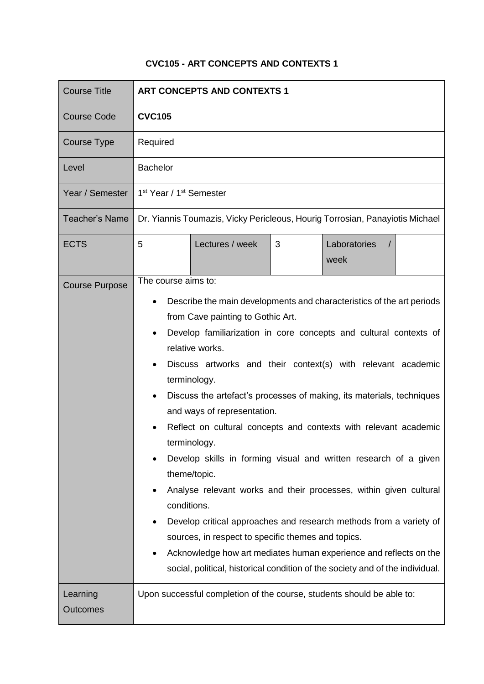## **CVC105 - ART CONCEPTS AND CONTEXTS 1**

| <b>Course Title</b>         | <b>ART CONCEPTS AND CONTEXTS 1</b>                                                                                                                                                                                                                                                                                                                                                                                                                                                                                                                                                                                                                                                                                                                                                                                                                                                                                                                                           |
|-----------------------------|------------------------------------------------------------------------------------------------------------------------------------------------------------------------------------------------------------------------------------------------------------------------------------------------------------------------------------------------------------------------------------------------------------------------------------------------------------------------------------------------------------------------------------------------------------------------------------------------------------------------------------------------------------------------------------------------------------------------------------------------------------------------------------------------------------------------------------------------------------------------------------------------------------------------------------------------------------------------------|
| <b>Course Code</b>          | <b>CVC105</b>                                                                                                                                                                                                                                                                                                                                                                                                                                                                                                                                                                                                                                                                                                                                                                                                                                                                                                                                                                |
| Course Type                 | Required                                                                                                                                                                                                                                                                                                                                                                                                                                                                                                                                                                                                                                                                                                                                                                                                                                                                                                                                                                     |
| Level                       | <b>Bachelor</b>                                                                                                                                                                                                                                                                                                                                                                                                                                                                                                                                                                                                                                                                                                                                                                                                                                                                                                                                                              |
| Year / Semester             | 1 <sup>st</sup> Year / 1 <sup>st</sup> Semester                                                                                                                                                                                                                                                                                                                                                                                                                                                                                                                                                                                                                                                                                                                                                                                                                                                                                                                              |
| <b>Teacher's Name</b>       | Dr. Yiannis Toumazis, Vicky Pericleous, Hourig Torrosian, Panayiotis Michael                                                                                                                                                                                                                                                                                                                                                                                                                                                                                                                                                                                                                                                                                                                                                                                                                                                                                                 |
| <b>ECTS</b>                 | 5<br>Lectures / week<br>3<br>Laboratories<br>$\prime$<br>week                                                                                                                                                                                                                                                                                                                                                                                                                                                                                                                                                                                                                                                                                                                                                                                                                                                                                                                |
| <b>Course Purpose</b>       | The course aims to:<br>Describe the main developments and characteristics of the art periods<br>from Cave painting to Gothic Art.<br>Develop familiarization in core concepts and cultural contexts of<br>relative works.<br>Discuss artworks and their context(s) with relevant academic<br>terminology.<br>Discuss the artefact's processes of making, its materials, techniques<br>$\bullet$<br>and ways of representation.<br>Reflect on cultural concepts and contexts with relevant academic<br>terminology.<br>Develop skills in forming visual and written research of a given<br>theme/topic.<br>Analyse relevant works and their processes, within given cultural<br>conditions.<br>Develop critical approaches and research methods from a variety of<br>sources, in respect to specific themes and topics.<br>Acknowledge how art mediates human experience and reflects on the<br>social, political, historical condition of the society and of the individual. |
| Learning<br><b>Outcomes</b> | Upon successful completion of the course, students should be able to:                                                                                                                                                                                                                                                                                                                                                                                                                                                                                                                                                                                                                                                                                                                                                                                                                                                                                                        |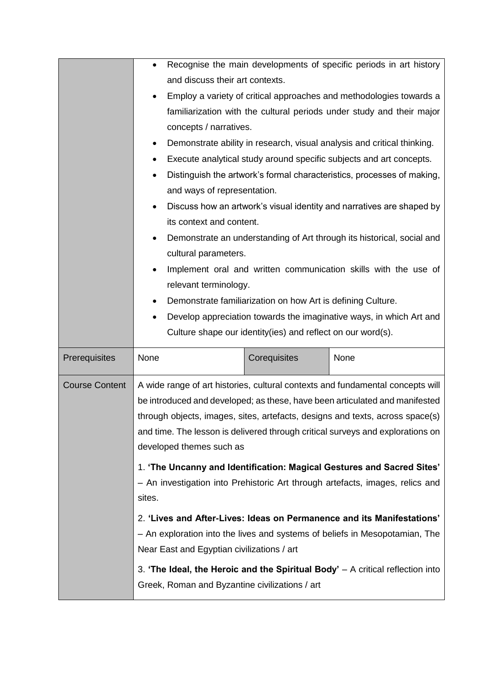|                       | $\bullet$                                                                                                                                                                                                                                                                                                                                                    |                                                             | Recognise the main developments of specific periods in art history                                                                                      |
|-----------------------|--------------------------------------------------------------------------------------------------------------------------------------------------------------------------------------------------------------------------------------------------------------------------------------------------------------------------------------------------------------|-------------------------------------------------------------|---------------------------------------------------------------------------------------------------------------------------------------------------------|
|                       | and discuss their art contexts.                                                                                                                                                                                                                                                                                                                              |                                                             |                                                                                                                                                         |
|                       | ٠                                                                                                                                                                                                                                                                                                                                                            |                                                             | Employ a variety of critical approaches and methodologies towards a                                                                                     |
|                       |                                                                                                                                                                                                                                                                                                                                                              |                                                             | familiarization with the cultural periods under study and their major                                                                                   |
|                       | concepts / narratives.                                                                                                                                                                                                                                                                                                                                       |                                                             |                                                                                                                                                         |
|                       | $\bullet$                                                                                                                                                                                                                                                                                                                                                    |                                                             | Demonstrate ability in research, visual analysis and critical thinking.                                                                                 |
|                       | ٠                                                                                                                                                                                                                                                                                                                                                            |                                                             | Execute analytical study around specific subjects and art concepts.                                                                                     |
|                       | ٠                                                                                                                                                                                                                                                                                                                                                            |                                                             | Distinguish the artwork's formal characteristics, processes of making,                                                                                  |
|                       | and ways of representation.                                                                                                                                                                                                                                                                                                                                  |                                                             |                                                                                                                                                         |
|                       | $\bullet$                                                                                                                                                                                                                                                                                                                                                    |                                                             | Discuss how an artwork's visual identity and narratives are shaped by                                                                                   |
|                       | its context and content.                                                                                                                                                                                                                                                                                                                                     |                                                             |                                                                                                                                                         |
|                       | ٠                                                                                                                                                                                                                                                                                                                                                            |                                                             | Demonstrate an understanding of Art through its historical, social and                                                                                  |
|                       | cultural parameters.                                                                                                                                                                                                                                                                                                                                         |                                                             |                                                                                                                                                         |
|                       | $\bullet$                                                                                                                                                                                                                                                                                                                                                    |                                                             | Implement oral and written communication skills with the use of                                                                                         |
|                       | relevant terminology.                                                                                                                                                                                                                                                                                                                                        |                                                             |                                                                                                                                                         |
|                       | ٠                                                                                                                                                                                                                                                                                                                                                            | Demonstrate familiarization on how Art is defining Culture. |                                                                                                                                                         |
|                       | ٠                                                                                                                                                                                                                                                                                                                                                            |                                                             | Develop appreciation towards the imaginative ways, in which Art and                                                                                     |
|                       |                                                                                                                                                                                                                                                                                                                                                              | Culture shape our identity(ies) and reflect on our word(s). |                                                                                                                                                         |
| Prerequisites         | None                                                                                                                                                                                                                                                                                                                                                         | Corequisites                                                | None                                                                                                                                                    |
| <b>Course Content</b> | A wide range of art histories, cultural contexts and fundamental concepts will<br>be introduced and developed; as these, have been articulated and manifested<br>through objects, images, sites, artefacts, designs and texts, across space(s)<br>and time. The lesson is delivered through critical surveys and explorations on<br>developed themes such as |                                                             |                                                                                                                                                         |
|                       | sites.                                                                                                                                                                                                                                                                                                                                                       |                                                             | 1. 'The Uncanny and Identification: Magical Gestures and Sacred Sites'<br>- An investigation into Prehistoric Art through artefacts, images, relics and |
|                       |                                                                                                                                                                                                                                                                                                                                                              |                                                             | 2. 'Lives and After-Lives: Ideas on Permanence and its Manifestations'                                                                                  |
|                       | Near East and Egyptian civilizations / art                                                                                                                                                                                                                                                                                                                   |                                                             | - An exploration into the lives and systems of beliefs in Mesopotamian, The                                                                             |
|                       |                                                                                                                                                                                                                                                                                                                                                              |                                                             | 3. 'The Ideal, the Heroic and the Spiritual Body' $-$ A critical reflection into                                                                        |
|                       |                                                                                                                                                                                                                                                                                                                                                              | Greek, Roman and Byzantine civilizations / art              |                                                                                                                                                         |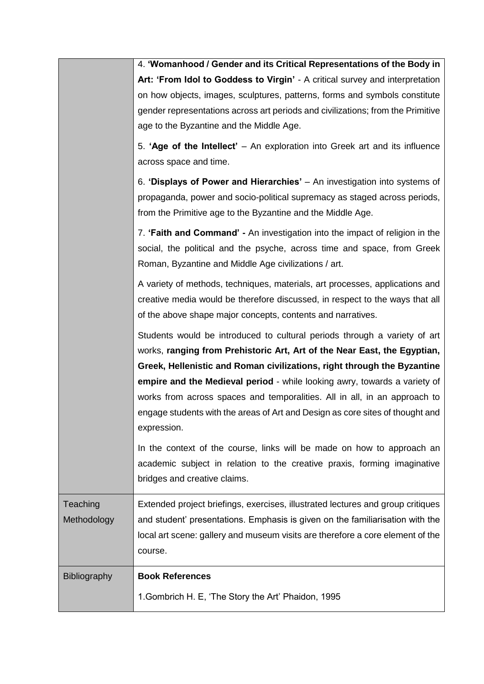|                         | 4. 'Womanhood / Gender and its Critical Representations of the Body in                                                                                                                                                                                                                                                                                                                                                                                                                     |
|-------------------------|--------------------------------------------------------------------------------------------------------------------------------------------------------------------------------------------------------------------------------------------------------------------------------------------------------------------------------------------------------------------------------------------------------------------------------------------------------------------------------------------|
|                         | Art: 'From Idol to Goddess to Virgin' - A critical survey and interpretation                                                                                                                                                                                                                                                                                                                                                                                                               |
|                         | on how objects, images, sculptures, patterns, forms and symbols constitute                                                                                                                                                                                                                                                                                                                                                                                                                 |
|                         | gender representations across art periods and civilizations; from the Primitive                                                                                                                                                                                                                                                                                                                                                                                                            |
|                         | age to the Byzantine and the Middle Age.                                                                                                                                                                                                                                                                                                                                                                                                                                                   |
|                         | 5. 'Age of the Intellect' - An exploration into Greek art and its influence<br>across space and time.                                                                                                                                                                                                                                                                                                                                                                                      |
|                         | 6. 'Displays of Power and Hierarchies' – An investigation into systems of<br>propaganda, power and socio-political supremacy as staged across periods,<br>from the Primitive age to the Byzantine and the Middle Age.                                                                                                                                                                                                                                                                      |
|                         | 7. 'Faith and Command' - An investigation into the impact of religion in the<br>social, the political and the psyche, across time and space, from Greek<br>Roman, Byzantine and Middle Age civilizations / art.                                                                                                                                                                                                                                                                            |
|                         | A variety of methods, techniques, materials, art processes, applications and<br>creative media would be therefore discussed, in respect to the ways that all<br>of the above shape major concepts, contents and narratives.                                                                                                                                                                                                                                                                |
|                         | Students would be introduced to cultural periods through a variety of art<br>works, ranging from Prehistoric Art, Art of the Near East, the Egyptian,<br>Greek, Hellenistic and Roman civilizations, right through the Byzantine<br>empire and the Medieval period - while looking awry, towards a variety of<br>works from across spaces and temporalities. All in all, in an approach to<br>engage students with the areas of Art and Design as core sites of thought and<br>expression. |
|                         | In the context of the course, links will be made on how to approach an<br>academic subject in relation to the creative praxis, forming imaginative<br>bridges and creative claims.                                                                                                                                                                                                                                                                                                         |
| Teaching<br>Methodology | Extended project briefings, exercises, illustrated lectures and group critiques<br>and student' presentations. Emphasis is given on the familiarisation with the<br>local art scene: gallery and museum visits are therefore a core element of the<br>course.                                                                                                                                                                                                                              |
| Bibliography            | <b>Book References</b>                                                                                                                                                                                                                                                                                                                                                                                                                                                                     |
|                         | 1. Gombrich H. E, 'The Story the Art' Phaidon, 1995                                                                                                                                                                                                                                                                                                                                                                                                                                        |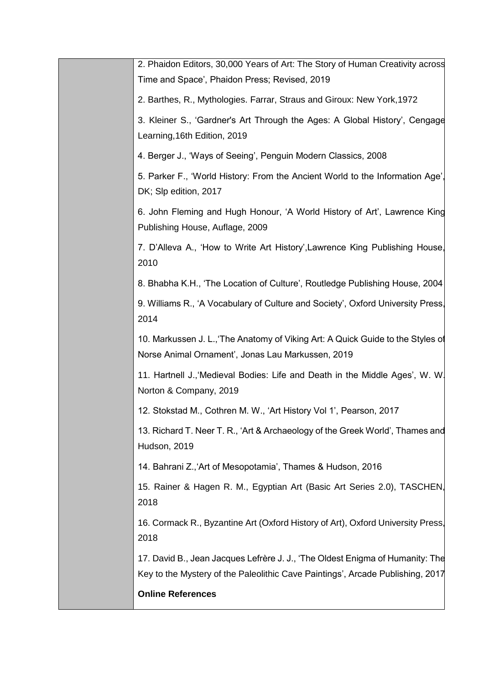| 2. Phaidon Editors, 30,000 Years of Art: The Story of Human Creativity across<br>Time and Space', Phaidon Press; Revised, 2019                                  |
|-----------------------------------------------------------------------------------------------------------------------------------------------------------------|
| 2. Barthes, R., Mythologies. Farrar, Straus and Giroux: New York, 1972                                                                                          |
| 3. Kleiner S., 'Gardner's Art Through the Ages: A Global History', Cengage<br>Learning, 16th Edition, 2019                                                      |
| 4. Berger J., 'Ways of Seeing', Penguin Modern Classics, 2008                                                                                                   |
| 5. Parker F., 'World History: From the Ancient World to the Information Age'<br>DK; Slp edition, 2017                                                           |
| 6. John Fleming and Hugh Honour, 'A World History of Art', Lawrence King<br>Publishing House, Auflage, 2009                                                     |
| 7. D'Alleva A., 'How to Write Art History', Lawrence King Publishing House,<br>2010                                                                             |
| 8. Bhabha K.H., 'The Location of Culture', Routledge Publishing House, 2004                                                                                     |
| 9. Williams R., 'A Vocabulary of Culture and Society', Oxford University Press,<br>2014                                                                         |
| 10. Markussen J. L., The Anatomy of Viking Art: A Quick Guide to the Styles of<br>Norse Animal Ornament', Jonas Lau Markussen, 2019                             |
| 11. Hartnell J., Medieval Bodies: Life and Death in the Middle Ages', W. W.<br>Norton & Company, 2019                                                           |
| 12. Stokstad M., Cothren M. W., 'Art History Vol 1', Pearson, 2017                                                                                              |
| 13. Richard T. Neer T. R., 'Art & Archaeology of the Greek World', Thames and<br>Hudson, 2019                                                                   |
| 14. Bahrani Z., Art of Mesopotamia', Thames & Hudson, 2016                                                                                                      |
| 15. Rainer & Hagen R. M., Egyptian Art (Basic Art Series 2.0), TASCHEN,<br>2018                                                                                 |
| 16. Cormack R., Byzantine Art (Oxford History of Art), Oxford University Press,<br>2018                                                                         |
| 17. David B., Jean Jacques Lefrère J. J., 'The Oldest Enigma of Humanity: The<br>Key to the Mystery of the Paleolithic Cave Paintings', Arcade Publishing, 2017 |
| <b>Online References</b>                                                                                                                                        |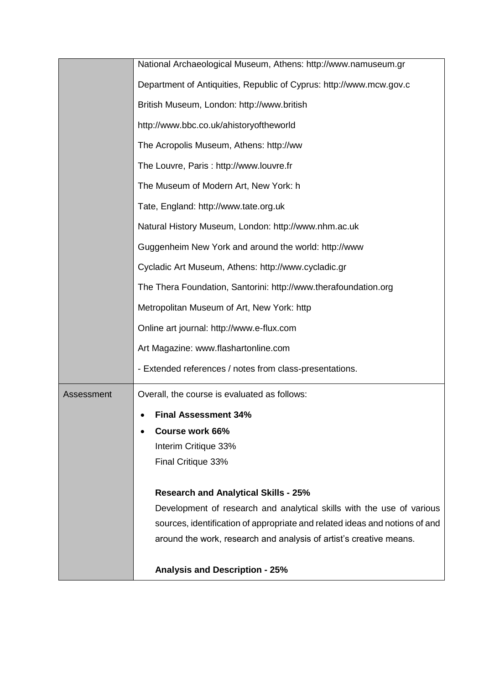|            | National Archaeological Museum, Athens: http://www.namuseum.gr              |
|------------|-----------------------------------------------------------------------------|
|            | Department of Antiquities, Republic of Cyprus: http://www.mcw.gov.c         |
|            | British Museum, London: http://www.british                                  |
|            | http://www.bbc.co.uk/ahistoryoftheworld                                     |
|            | The Acropolis Museum, Athens: http://ww                                     |
|            | The Louvre, Paris: http://www.louvre.fr                                     |
|            | The Museum of Modern Art, New York: h                                       |
|            | Tate, England: http://www.tate.org.uk                                       |
|            | Natural History Museum, London: http://www.nhm.ac.uk                        |
|            | Guggenheim New York and around the world: http://www                        |
|            | Cycladic Art Museum, Athens: http://www.cycladic.gr                         |
|            | The Thera Foundation, Santorini: http://www.therafoundation.org             |
|            | Metropolitan Museum of Art, New York: http                                  |
|            | Online art journal: http://www.e-flux.com                                   |
|            | Art Magazine: www.flashartonline.com                                        |
|            | - Extended references / notes from class-presentations.                     |
| Assessment | Overall, the course is evaluated as follows:                                |
|            | <b>Final Assessment 34%</b>                                                 |
|            | Course work 66%                                                             |
|            | Interim Critique 33%                                                        |
|            | Final Critique 33%                                                          |
|            | <b>Research and Analytical Skills - 25%</b>                                 |
|            | Development of research and analytical skills with the use of various       |
|            | sources, identification of appropriate and related ideas and notions of and |
|            | around the work, research and analysis of artist's creative means.          |
|            | <b>Analysis and Description - 25%</b>                                       |